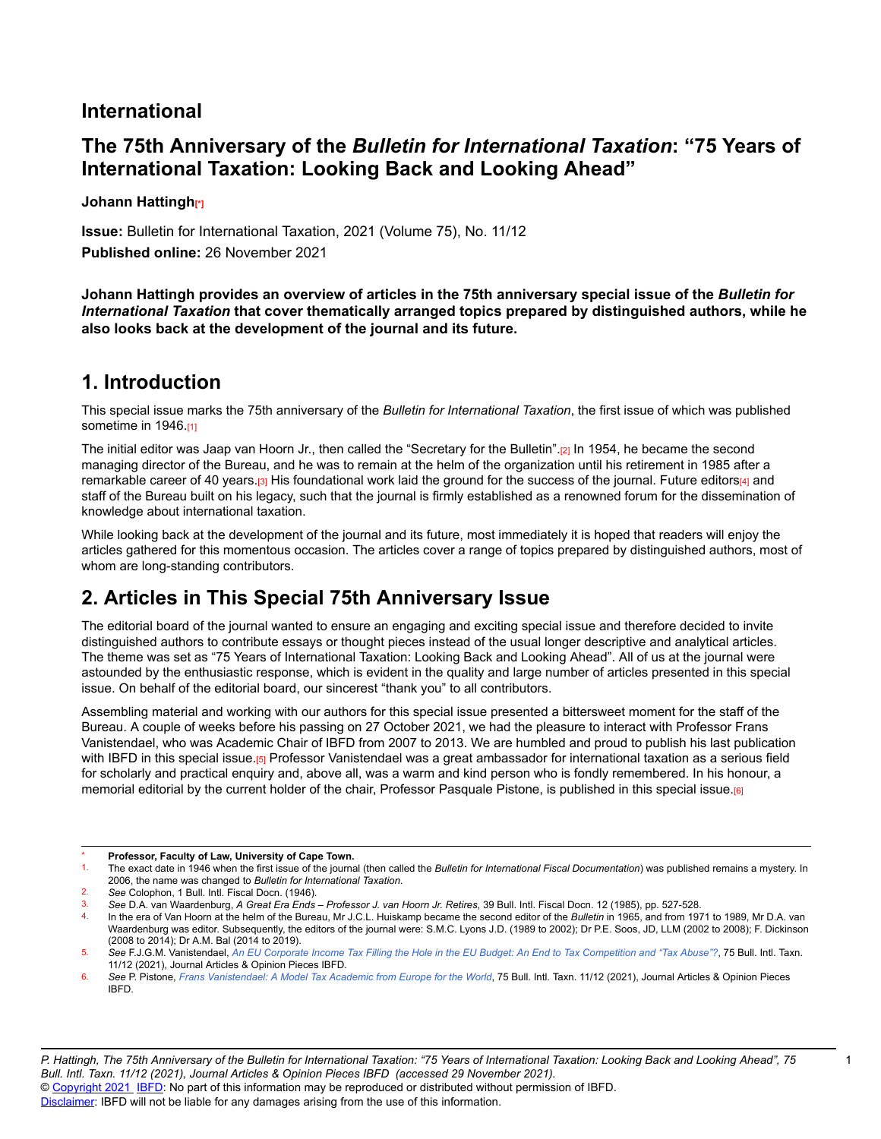### **International**

## **The 75th Anniversary of the** *Bulletin for International Taxation***: "75 Years of International Taxation: Looking Back and Looking Ahead"**

**Johann Hattingh[\*]**

**Issue:** Bulletin for International Taxation, 2021 (Volume 75), No. 11/12 **Published online:** 26 November 2021

**Johann Hattingh provides an overview of articles in the 75th anniversary special issue of the** *Bulletin for International Taxation* **that cover thematically arranged topics prepared by distinguished authors, while he also looks back at the development of the journal and its future.**

## **1. Introduction**

This special issue marks the 75th anniversary of the *Bulletin for International Taxation*, the first issue of which was published sometime in 1946.[1]

The initial editor was Jaap van Hoorn Jr., then called the "Secretary for the Bulletin".[2] In 1954, he became the second managing director of the Bureau, and he was to remain at the helm of the organization until his retirement in 1985 after a remarkable career of 40 years.[3] His foundational work laid the ground for the success of the journal. Future editors[4] and staff of the Bureau built on his legacy, such that the journal is firmly established as a renowned forum for the dissemination of knowledge about international taxation.

While looking back at the development of the journal and its future, most immediately it is hoped that readers will enjoy the articles gathered for this momentous occasion. The articles cover a range of topics prepared by distinguished authors, most of whom are long-standing contributors.

# **2. Articles in This Special 75th Anniversary Issue**

The editorial board of the journal wanted to ensure an engaging and exciting special issue and therefore decided to invite distinguished authors to contribute essays or thought pieces instead of the usual longer descriptive and analytical articles. The theme was set as "75 Years of International Taxation: Looking Back and Looking Ahead". All of us at the journal were astounded by the enthusiastic response, which is evident in the quality and large number of articles presented in this special issue. On behalf of the editorial board, our sincerest "thank you" to all contributors.

Assembling material and working with our authors for this special issue presented a bittersweet moment for the staff of the Bureau. A couple of weeks before his passing on 27 October 2021, we had the pleasure to interact with Professor Frans Vanistendael, who was Academic Chair of IBFD from 2007 to 2013. We are humbled and proud to publish his last publication with IBFD in this special issue.[5] Professor Vanistendael was a great ambassador for international taxation as a serious field for scholarly and practical enquiry and, above all, was a warm and kind person who is fondly remembered. In his honour, a memorial editorial by the current holder of the chair, Professor Pasquale Pistone, is published in this special issue.[6]

<sup>\*</sup> **Professor, Faculty of Law, University of Cape Town.**

The exact date in 1946 when the first issue of the journal (then called the *Bulletin for International Fiscal Documentation*) was published remains a mystery. In 2006, the name was changed to *Bulletin for International Taxation*.

<sup>2.</sup> *See* Colophon, 1 Bull. Intl. Fiscal Docn. (1946).

<sup>3.</sup> *See* D.A. van Waardenburg, *A Great Era Ends – Professor J. van Hoorn Jr. Retires*, 39 Bull. Intl. Fiscal Docn. 12 (1985), pp. 527-528.

<sup>4.</sup> In the era of Van Hoorn at the helm of the Bureau, Mr J.C.L. Huiskamp became the second editor of the *Bulletin* in 1965, and from 1971 to 1989, Mr D.A. van Waardenburg was editor. Subsequently, the editors of the journal were: S.M.C. Lyons J.D. (1989 to 2002); Dr P.E. Soos, JD, LLM (2002 to 2008); F. Dickinson (2008 to 2014); Dr A.M. Bal (2014 to 2019).

<sup>5.</sup> See F.J.G.M. Vanistendael, An EU Corporate Income Tax Filling the Hole in the EU Budget: An End to Tax [Competition](https://research.ibfd.org/#/doc?url=/linkresolver/static/bit_2021_11_e2_1%23bit_2021_11_e2_1) and "Tax Abuse"?, 75 Bull. Intl. Taxn. 11/12 (2021), Journal Articles & Opinion Pieces IBFD.

<sup>6.</sup> See P. Pistone, Frans [Vanistendael:](https://research.ibfd.org/#/doc?url=/linkresolver/static/bit_2021_11_int_3%23bit_2021_11_int_3) A Model Tax Academic from Europe for the World, 75 Bull. Intl. Taxn. 11/12 (2021), Journal Articles & Opinion Pieces IBFD.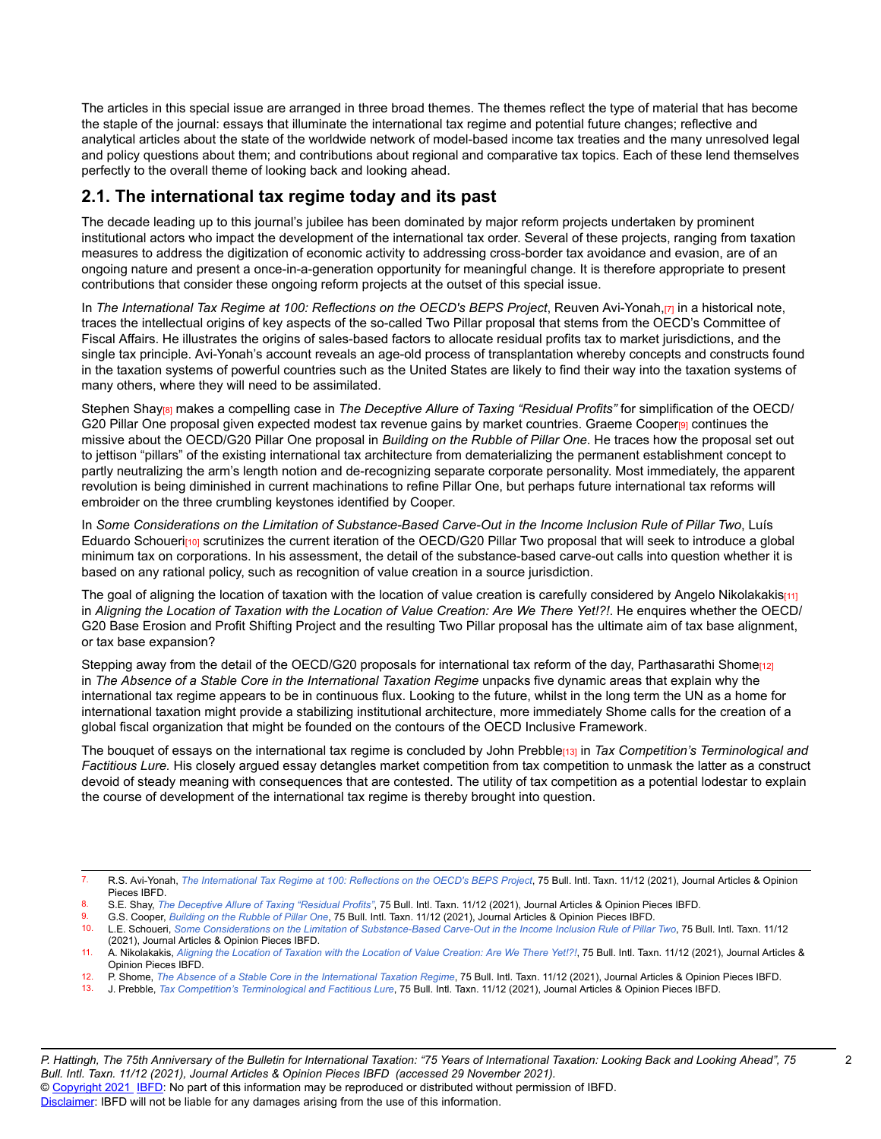The articles in this special issue are arranged in three broad themes. The themes reflect the type of material that has become the staple of the journal: essays that illuminate the international tax regime and potential future changes; reflective and analytical articles about the state of the worldwide network of model-based income tax treaties and the many unresolved legal and policy questions about them; and contributions about regional and comparative tax topics. Each of these lend themselves perfectly to the overall theme of looking back and looking ahead.

### **2.1. The international tax regime today and its past**

The decade leading up to this journal's jubilee has been dominated by major reform projects undertaken by prominent institutional actors who impact the development of the international tax order. Several of these projects, ranging from taxation measures to address the digitization of economic activity to addressing cross-border tax avoidance and evasion, are of an ongoing nature and present a once-in-a-generation opportunity for meaningful change. It is therefore appropriate to present contributions that consider these ongoing reform projects at the outset of this special issue.

In *The International Tax Regime at 100: Reflections on the OECD's BEPS Project*, Reuven Avi-Yonah,[7] in a historical note, traces the intellectual origins of key aspects of the so-called Two Pillar proposal that stems from the OECD's Committee of Fiscal Affairs. He illustrates the origins of sales-based factors to allocate residual profits tax to market jurisdictions, and the single tax principle. Avi-Yonah's account reveals an age-old process of transplantation whereby concepts and constructs found in the taxation systems of powerful countries such as the United States are likely to find their way into the taxation systems of many others, where they will need to be assimilated.

Stephen Shay[8] makes a compelling case in *The Deceptive Allure of Taxing "Residual Profits"* for simplification of the OECD/ G20 Pillar One proposal given expected modest tax revenue gains by market countries. Graeme Cooper[9] continues the missive about the OECD/G20 Pillar One proposal in *Building on the Rubble of Pillar One*. He traces how the proposal set out to jettison "pillars" of the existing international tax architecture from dematerializing the permanent establishment concept to partly neutralizing the arm's length notion and de-recognizing separate corporate personality. Most immediately, the apparent revolution is being diminished in current machinations to refine Pillar One, but perhaps future international tax reforms will embroider on the three crumbling keystones identified by Cooper.

In Some Considerations on the Limitation of Substance-Based Carve-Out in the Income Inclusion Rule of Pillar Two, Luís Eduardo Schoueri<sub>[10]</sub> scrutinizes the current iteration of the OECD/G20 Pillar Two proposal that will seek to introduce a global minimum tax on corporations. In his assessment, the detail of the substance-based carve-out calls into question whether it is based on any rational policy, such as recognition of value creation in a source jurisdiction.

The goal of aligning the location of taxation with the location of value creation is carefully considered by Angelo Nikolakakis[11] in Aligning the Location of Taxation with the Location of Value Creation: Are We There Yet!?!. He enquires whether the OECD/ G20 Base Erosion and Profit Shifting Project and the resulting Two Pillar proposal has the ultimate aim of tax base alignment, or tax base expansion?

Stepping away from the detail of the OECD/G20 proposals for international tax reform of the day, Parthasarathi Shome<sub>[12]</sub> in *The Absence of a Stable Core in the International Taxation Regime* unpacks five dynamic areas that explain why the international tax regime appears to be in continuous flux. Looking to the future, whilst in the long term the UN as a home for international taxation might provide a stabilizing institutional architecture, more immediately Shome calls for the creation of a global fiscal organization that might be founded on the contours of the OECD Inclusive Framework.

The bouquet of essays on the international tax regime is concluded by John Prebble[13] in *Tax Competition's Terminological and* Factitious Lure. His closely argued essay detangles market competition from tax competition to unmask the latter as a construct devoid of steady meaning with consequences that are contested. The utility of tax competition as a potential lodestar to explain the course of development of the international tax regime is thereby brought into question.

 $\mathfrak{p}$ 

<sup>7.</sup> R.S. Avi-Yonah, The [International](https://research.ibfd.org/#/doc?url=/linkresolver/static/bit_2021_11_o2_3%23bit_2021_11_o2_3) Tax Regime at 100: Reflections on the OECD's BEPS Project, 75 Bull. Intl. Taxn. 11/12 (2021), Journal Articles & Opinion Pieces IBFD.

<sup>8.</sup> S.E. Shay, *The [Deceptive](https://research.ibfd.org/#/doc?url=/linkresolver/static/bit_2021_11_o2_5%23bit_2021_11_o2_5) Allure of Taxing "Residual Profits"*, 75 Bull. Intl. Taxn. 11/12 (2021), Journal Articles & Opinion Pieces IBFD.<br>8. G.S. Cooper *Building on the Bubble of Pillar One*, 75 Bull. Intl. Taxn. 11

<sup>9.</sup> G.S. Cooper, *[Building on the Rubble of Pillar One](https://research.ibfd.org/#/doc?url=/linkresolver/static/bit_2021_11_o2_8%23bit_2021_11_o2_8)*, 75 Bull. Intl. Taxn. 11/12 (2021), Journal Articles & Opinion Pieces IBFD.

<sup>10.</sup> L.E. Schoueri, Some Considerations on the Limitation of [Substance-Based](https://research.ibfd.org/#/doc?url=/linkresolver/static/bit_2021_11_o2_10%23bit_2021_11_o2_10) Carve-Out in the Income Inclusion Rule of Pillar Two, 75 Bull. Intl. Taxn. 11/12 (2021), Journal Articles & Opinion Pieces IBFD.

<sup>11.</sup> A. Nikolakakis, Aligning the Location of Taxation with the Location of Value [Creation:](https://research.ibfd.org/#/doc?url=/linkresolver/static/bit_2021_11_o2_17%23bit_2021_11_o2_17) Are We There Yet!?!, 75 Bull. Intl. Taxn. 11/12 (2021), Journal Articles & Opinion Pieces IBFD.

<sup>12.</sup> P. Shome, The Absence of a Stable Core in the [International](https://research.ibfd.org/#/doc?url=/linkresolver/static/bit_2021_11_o2_1%23bit_2021_11_o2_1) Taxation Regime, 75 Bull. Intl. Taxn. 11/12 (2021), Journal Articles & Opinion Pieces IBFD.

<sup>13.</sup> J. Prebble, *Tax Competition's [Terminological](https://research.ibfd.org/#/doc?url=/linkresolver/static/bit_2021_11_o2_16%23bit_2021_11_o2_16) and Factitious Lure*, 75 Bull. Intl. Taxn. 11/12 (2021), Journal Articles & Opinion Pieces IBFD.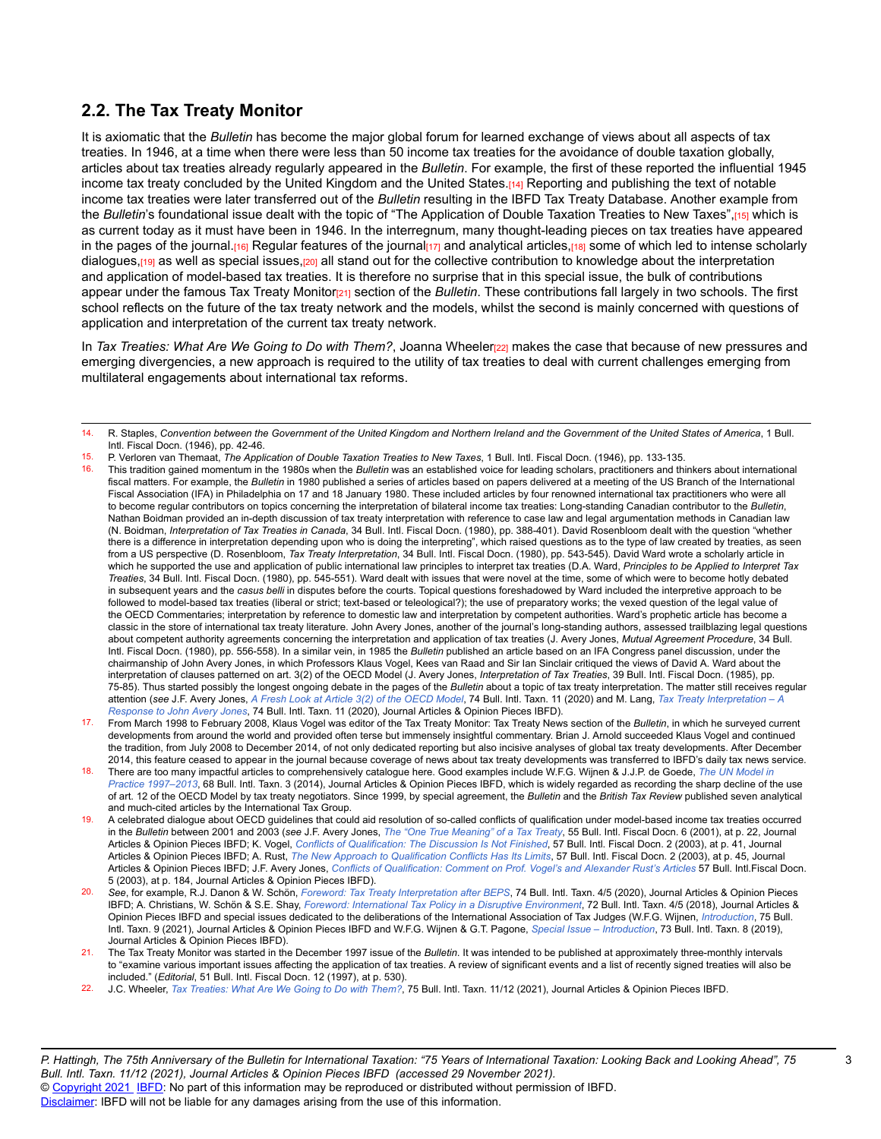### **2.2. The Tax Treaty Monitor**

It is axiomatic that the *Bulletin* has become the major global forum for learned exchange of views about all aspects of tax treaties. In 1946, at a time when there were less than 50 income tax treaties for the avoidance of double taxation globally, articles about tax treaties already regularly appeared in the *Bulletin*. For example, the first of these reported the influential 1945 income tax treaty concluded by the United Kingdom and the United States.[14] Reporting and publishing the text of notable income tax treaties were later transferred out of the *Bulletin* resulting in the IBFD Tax Treaty Database. Another example from the *Bulletin*'s foundational issue dealt with the topic of "The Application of Double Taxation Treaties to New Taxes",[15] which is as current today as it must have been in 1946. In the interregnum, many thought-leading pieces on tax treaties have appeared in the pages of the journal.<sup>[16]</sup> Regular features of the journal $\left[17\right]$  and analytical articles, $\left[18\right]$  some of which led to intense scholarly dialogues,<sub>[19]</sub> as well as special issues,[20] all stand out for the collective contribution to knowledge about the interpretation and application of model-based tax treaties. It is therefore no surprise that in this special issue, the bulk of contributions appear under the famous Tax Treaty Monitor[21] section of the *Bulletin*. These contributions fall largely in two schools. The first school reflects on the future of the tax treaty network and the models, whilst the second is mainly concerned with questions of application and interpretation of the current tax treaty network.

In *Tax Treaties: What Are We Going to Do with Them?*, Joanna Wheeler[22] makes the case that because of new pressures and emerging divergencies, a new approach is required to the utility of tax treaties to deal with current challenges emerging from multilateral engagements about international tax reforms.

- 15. P. Verloren van Themaat, *The Application of Double Taxation Treaties to New Taxes*, 1 Bull. Intl. Fiscal Docn. (1946), pp. 133-135.
- 16. This tradition gained momentum in the 1980s when the *Bulletin* was an established voice for leading scholars, practitioners and thinkers about international fiscal matters. For example, the *Bulletin* in 1980 published a series of articles based on papers delivered at a meeting of the US Branch of the International Fiscal Association (IFA) in Philadelphia on 17 and 18 January 1980. These included articles by four renowned international tax practitioners who were all to become regular contributors on topics concerning the interpretation of bilateral income tax treaties: Long-standing Canadian contributor to the *Bulletin*, Nathan Boidman provided an in-depth discussion of tax treaty interpretation with reference to case law and legal argumentation methods in Canadian law (N. Boidman, *Interpretation of Tax Treaties in Canada*, 34 Bull. Intl. Fiscal Docn. (1980), pp. 388-401). David Rosenbloom dealt with the question "whether there is a difference in interpretation depending upon who is doing the interpreting", which raised questions as to the type of law created by treaties, as seen from a US perspective (D. Rosenbloom, *Tax Treaty Interpretation*, 34 Bull. Intl. Fiscal Docn. (1980), pp. 543-545). David Ward wrote a scholarly article in which he supported the use and application of public international law principles to interpret tax treaties (D.A. Ward, *Principles to be Applied to Interpret Tax Treaties*, 34 Bull. Intl. Fiscal Docn. (1980), pp. 545-551). Ward dealt with issues that were novel at the time, some of which were to become hotly debated in subsequent years and the *casus belli* in disputes before the courts. Topical questions foreshadowed by Ward included the interpretive approach to be followed to model-based tax treaties (liberal or strict; text-based or teleological?); the use of preparatory works; the vexed question of the legal value of the OECD Commentaries; interpretation by reference to domestic law and interpretation by competent authorities. Ward's prophetic article has become a classic in the store of international tax treaty literature. John Avery Jones, another of the journal's long-standing authors, assessed trailblazing legal questions about competent authority agreements concerning the interpretation and application of tax treaties (J. Avery Jones, *Mutual Agreement Procedure*, 34 Bull. Intl. Fiscal Docn. (1980), pp. 556-558). In a similar vein, in 1985 the *Bulletin* published an article based on an IFA Congress panel discussion, under the chairmanship of John Avery Jones, in which Professors Klaus Vogel, Kees van Raad and Sir Ian Sinclair critiqued the views of David A. Ward about the interpretation of clauses patterned on art. 3(2) of the OECD Model (J. Avery Jones, *Interpretation of Tax Treaties*, 39 Bull. Intl. Fiscal Docn. (1985), pp. 75-85). Thus started possibly the longest ongoing debate in the pages of the *Bulletin* about a topic of tax treaty interpretation. The matter still receives regular attention (*see* J.F. Avery Jones, *[A Fresh Look at Article 3\(2\) of the OECD Model](https://research.ibfd.org/#/doc?url=/linkresolver/static/bit_2020_11_o2_2%23bit_2020_11_o2_2)*, 74 Bull. Intl. Taxn. 11 (2020) and M. Lang, *Tax Treaty [Interpretation](https://research.ibfd.org/#/doc?url=/linkresolver/static/bit_2020_11_o2_1%23bit_2020_11_o2_1) – A [Response](https://research.ibfd.org/#/doc?url=/linkresolver/static/bit_2020_11_o2_1%23bit_2020_11_o2_1) to John Avery Jones*, 74 Bull. Intl. Taxn. 11 (2020), Journal Articles & Opinion Pieces IBFD).
- 17. From March 1998 to February 2008, Klaus Vogel was editor of the Tax Treaty Monitor: Tax Treaty News section of the *Bulletin*, in which he surveyed current developments from around the world and provided often terse but immensely insightful commentary. Brian J. Arnold succeeded Klaus Vogel and continued the tradition, from July 2008 to December 2014, of not only dedicated reporting but also incisive analyses of global tax treaty developments. After December 2014, this feature ceased to appear in the journal because coverage of news about tax treaty developments was transferred to IBFD's daily tax news service.
- 18. There are too many impactful articles to comprehensively catalogue here. Good examples include W.F.G. Wijnen & J.J.P. de Goede, *[The UN Model in](https://research.ibfd.org/#/doc?url=/linkresolver/static/bit_2014_03_un_1%23bit_2014_03_un_1) [Practice 1997–2013](https://research.ibfd.org/#/doc?url=/linkresolver/static/bit_2014_03_un_1%23bit_2014_03_un_1)*, 68 Bull. Intl. Taxn. 3 (2014), Journal Articles & Opinion Pieces IBFD, which is widely regarded as recording the sharp decline of the use of art. 12 of the OECD Model by tax treaty negotiators. Since 1999, by special agreement, the *Bulletin* and the *British Tax Review* published seven analytical and much-cited articles by the International Tax Group.
- 19. A celebrated dialogue about OECD guidelines that could aid resolution of so-called conflicts of qualification under model-based income tax treaties occurred in the Bulletin between 2001 and 2003 (see J.F. Avery Jones, The "One True [Meaning"](https://research.ibfd.org/#/doc?url=/linkresolver/static/bifd060102%23bifd060102) of a Tax Treaty, 55 Bull. Intl. Fiscal Docn. 6 (2001), at p. 22, Journal Articles & Opinion Pieces IBFD; K. Vogel, *[Conflicts of Qualification: The Discussion Is Not Finished](https://research.ibfd.org/#/doc?url=/linkresolver/static/bifd020302%23bifd020302)*, 57 Bull. Intl. Fiscal Docn. 2 (2003), at p. 41, Journal Articles & Opinion Pieces IBFD; A. Rust, *[The New Approach to Qualification Conflicts Has Its Limits](https://research.ibfd.org/#/doc?url=/linkresolver/static/bifd020303%23bifd020303)*, 57 Bull. Intl. Fiscal Docn. 2 (2003), at p. 45, Journal Articles & Opinion Pieces IBFD; J.F. Avery Jones, Conflicts of [Qualification:](https://research.ibfd.org/#/doc?url=/linkresolver/static/bifd050302%23bifd050302) Comment on Prof. Vogel's and Alexander Rust's Articles 57 Bull. Intl.Fiscal Docn. 5 (2003), at p. 184, Journal Articles & Opinion Pieces IBFD).
- 20. *See*, for example, R.J. Danon & W. Schön, *Foreword: Tax Treaty [Interpretation](https://research.ibfd.org/#/doc?url=/linkresolver/static/bit_2020_04_o2_12%23bit_2020_04_o2_12) after BEPS*, 74 Bull. Intl. Taxn. 4/5 (2020), Journal Articles & Opinion Pieces IBFD; A. Christians, W. Schön & S.E. Shay, *Foreword: International Tax Policy in a Disruptive [Environment](https://research.ibfd.org/#/doc?url=/linkresolver/static/bit_2018_04_int_4%23bit_2018_04_int_4)*, 72 Bull. Intl. Taxn. 4/5 (2018), Journal Articles & Opinion Pieces IBFD and special issues dedicated to the deliberations of the International Association of Tax Judges (W.F.G. Wijnen, *[Introduction](https://research.ibfd.org/#/doc?url=/linkresolver/static/bit_2021_09_int_1%23bit_2021_09_int_1)*, 75 Bull. Intl. Taxn. 9 (2021), Journal Articles & Opinion Pieces IBFD and W.F.G. Wijnen & G.T. Pagone, *[Special Issue – Introduction](https://research.ibfd.org/#/doc?url=/linkresolver/static/bit_2019_08_int_3%23bit_2019_08_int_3)*, 73 Bull. Intl. Taxn. 8 (2019), Journal Articles & Opinion Pieces IBFD).
- 21. The Tax Treaty Monitor was started in the December 1997 issue of the *Bulletin*. It was intended to be published at approximately three-monthly intervals to "examine various important issues affecting the application of tax treaties. A review of significant events and a list of recently signed treaties will also be included." (*Editorial*, 51 Bull. Intl. Fiscal Docn. 12 (1997), at p. 530).
- 22. J.C. Wheeler, *Tax [Treaties:](https://research.ibfd.org/#/doc?url=/linkresolver/static/bit_2021_11_o2_15%23bit_2021_11_o2_15) What Are We Going to Do with Them?*, 75 Bull. Intl. Taxn. 11/12 (2021), Journal Articles & Opinion Pieces IBFD.

<sup>14.</sup> R. Staples, *Convention between the Government of the United Kingdom and Northern Ireland and the Government of the United States of America*, 1 Bull. Intl. Fiscal Docn. (1946), pp. 42-46.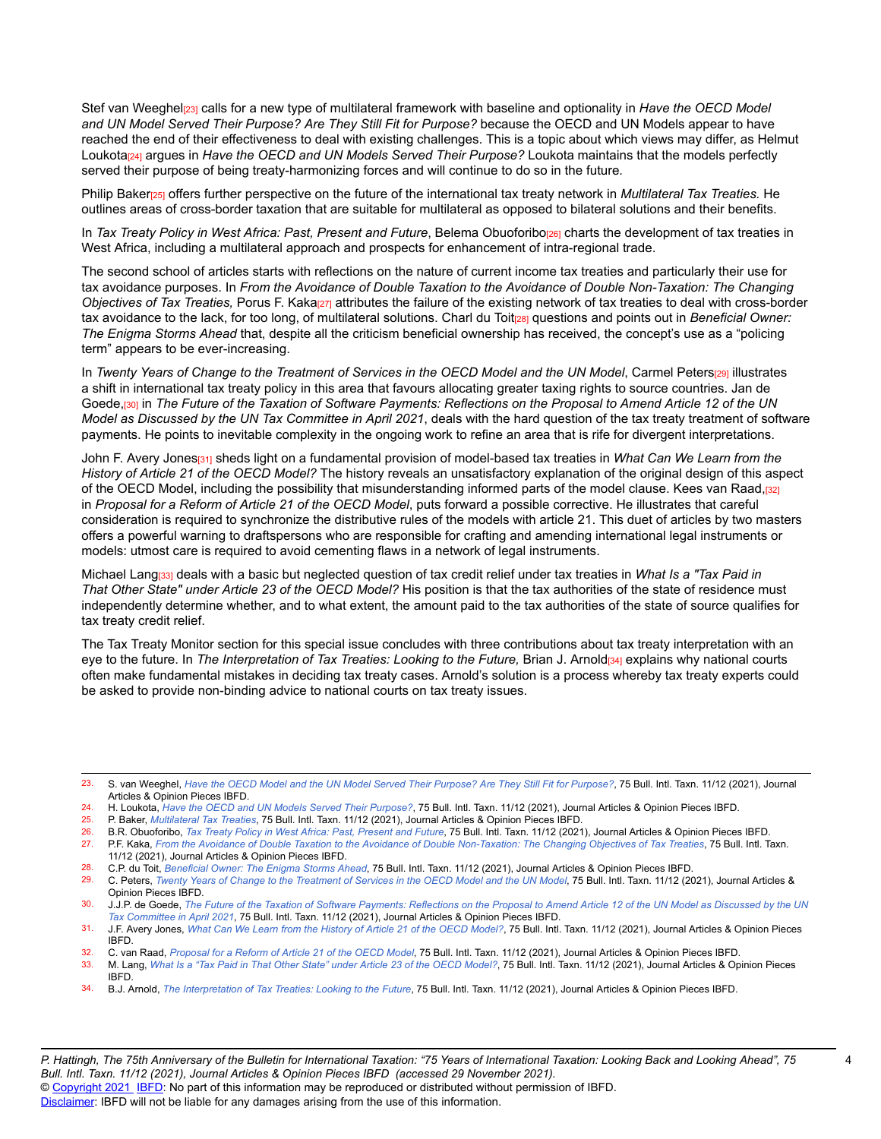Stef van Weeghel<sub>[23]</sub> calls for a new type of multilateral framework with baseline and optionality in *Have the OECD Model and UN Model Served Their Purpose? Are They Still Fit for Purpose?* because the OECD and UN Models appear to have reached the end of their effectiveness to deal with existing challenges. This is a topic about which views may differ, as Helmut Loukota<sub>[24]</sub> argues in *Have the OECD and UN Models Served Their Purpose?* Loukota maintains that the models perfectly served their purpose of being treaty-harmonizing forces and will continue to do so in the future*.*

Philip Baker[25] offers further perspective on the future of the international tax treaty network in *Multilateral Tax Treaties.* He outlines areas of cross-border taxation that are suitable for multilateral as opposed to bilateral solutions and their benefits.

In *Tax Treaty Policy in West Africa: Past, Present and Future, Belema Obuoforibo<sub>[26]</sub> charts the development of tax treaties in* West Africa, including a multilateral approach and prospects for enhancement of intra-regional trade.

The second school of articles starts with reflections on the nature of current income tax treaties and particularly their use for tax avoidance purposes. In *From the Avoidance of Double Taxation to the Avoidance of Double Non-Taxation: The Changing Objectives of Tax Treaties,* Porus F. Kaka[27] attributes the failure of the existing network of tax treaties to deal with cross-border tax avoidance to the lack, for too long, of multilateral solutions. Charl du Toit<sub>[28]</sub> questions and points out in *Beneficial Owner: The Enigma Storms Ahead* that, despite all the criticism beneficial ownership has received, the concept's use as a "policing term" appears to be ever-increasing.

In Twenty Years of Change to the Treatment of Services in the OECD Model and the UN Model, Carmel Peters[29] illustrates a shift in international tax treaty policy in this area that favours allocating greater taxing rights to source countries. Jan de Goede,[30] in The Future of the Taxation of Software Payments: Reflections on the Proposal to Amend Article 12 of the UN *Model as Discussed by the UN Tax Committee in April 2021*, deals with the hard question of the tax treaty treatment of software payments. He points to inevitable complexity in the ongoing work to refine an area that is rife for divergent interpretations.

John F. Avery Jones[31] sheds light on a fundamental provision of model-based tax treaties in *What Can We Learn from the History of Article 21 of the OECD Model?* The history reveals an unsatisfactory explanation of the original design of this aspect of the OECD Model, including the possibility that misunderstanding informed parts of the model clause. Kees van Raad,[32] in *Proposal for a Reform of Article 21 of the OECD Model*, puts forward a possible corrective. He illustrates that careful consideration is required to synchronize the distributive rules of the models with article 21. This duet of articles by two masters offers a powerful warning to draftspersons who are responsible for crafting and amending international legal instruments or models: utmost care is required to avoid cementing flaws in a network of legal instruments.

Michael Lang[33] deals with a basic but neglected question of tax credit relief under tax treaties in *What Is a "Tax Paid in That Other State" under Article 23 of the OECD Model?* His position is that the tax authorities of the state of residence must independently determine whether, and to what extent, the amount paid to the tax authorities of the state of source qualifies for tax treaty credit relief.

The Tax Treaty Monitor section for this special issue concludes with three contributions about tax treaty interpretation with an eye to the future. In *The Interpretation of Tax Treaties: Looking to the Future,* Brian J. Arnold[34] explains why national courts often make fundamental mistakes in deciding tax treaty cases. Arnold's solution is a process whereby tax treaty experts could be asked to provide non-binding advice to national courts on tax treaty issues.

<sup>23.</sup> S. van Weeghel, *[Have the OECD Model and the UN Model Served Their Purpose? Are They Still Fit for Purpose?](https://research.ibfd.org/#/doc?url=/linkresolver/static/bit_2021_11_o2_12%23bit_2021_11_o2_12)*, 75 Bull. Intl. Taxn. 11/12 (2021), Journal Articles & Opinion Pieces IBFD.

<sup>24.</sup> H. Loukota, *[Have the OECD and UN Models Served Their Purpose?](https://research.ibfd.org/#/doc?url=/linkresolver/static/bit_2021_11_o2_6%23bit_2021_11_o2_6)*, 75 Bull. Intl. Taxn. 11/12 (2021), Journal Articles & Opinion Pieces IBFD.<br>25. P. Baker *Multilateral Tax Treaties*, 75 Bull. Intl. Taxn. 11/12 (2021), J

<sup>25.</sup> P. Baker, *[Multilateral](https://research.ibfd.org/#/doc?url=/linkresolver/static/bit_2021_11_o2_4%23bit_2021_11_o2_4) Tax Treaties*, 75 Bull. Intl. Taxn. 11/12 (2021), Journal Articles & Opinion Pieces IBFD.

<sup>26.</sup> B.R. Obuoforibo, Tax Treaty Policy in West Africa: Past, [Present](https://research.ibfd.org/#/doc?url=/linkresolver/static/bit_2021_11_bj_1%23bit_2021_11_bj_1) and Future, 75 Bull. Intl. Taxn. 11/12 (2021), Journal Articles & Opinion Pieces IBFD.<br>27 PE Kaka, From the Avoidance of Double Taxation to the Avoidance P.F. Kaka, From the Avoidance of Double Taxation to the Avoidance of Double [Non-Taxation:](https://research.ibfd.org/#/doc?url=/linkresolver/static/bit_2021_11_o2_11%23bit_2021_11_o2_11) The Changing Objectives of Tax Treaties, 75 Bull. Intl. Taxn.

<sup>11/12</sup> (2021), Journal Articles & Opinion Pieces IBFD.

<sup>28.</sup> C.P. du Toit, *[Beneficial Owner: The Enigma Storms Ahead](https://research.ibfd.org/#/doc?url=/linkresolver/static/bit_2021_11_o2_7%23bit_2021_11_o2_7)*, 75 Bull. Intl. Taxn. 11/12 (2021), Journal Articles & Opinion Pieces IBFD.

<sup>29.</sup> C. Peters, Twenty Years of Change to the [Treatment](https://research.ibfd.org/#/doc?url=/linkresolver/static/bit_2021_11_o2_21%23bit_2021_11_o2_21) of Services in the OECD Model and the UN Model, 75 Bull. Intl. Taxn. 11/12 (2021), Journal Articles & Opinion Pieces IBFD.

<sup>30.</sup> J.J.P. de Goede, The Future of the Taxation of Software Payments: [Reflections](https://research.ibfd.org/#/doc?url=/linkresolver/static/bit_2021_11_o2_9%23bit_2021_11_o2_9) on the Proposal to Amend Article 12 of the UN Model as Discussed by the UN *Tax [Committee](https://research.ibfd.org/#/doc?url=/linkresolver/static/bit_2021_11_o2_9%23bit_2021_11_o2_9) in April 2021*, 75 Bull. Intl. Taxn. 11/12 (2021), Journal Articles & Opinion Pieces IBFD.

<sup>31.</sup> J.F. Avery Jones, What Can We Learn from the History of Article 21 of the OECD [Model?](https://research.ibfd.org/#/doc?url=/linkresolver/static/bit_2021_11_o2_13%23bit_2021_11_o2_13), 75 Bull. Intl. Taxn. 11/12 (2021), Journal Articles & Opinion Pieces IBFD.

<sup>32.</sup> C. van Raad, *[Proposal for a Reform of Article 21 of the OECD Model](https://research.ibfd.org/#/doc?url=/linkresolver/static/bit_2021_11_o2_14%23bit_2021_11_o2_14)*, 75 Bull. Intl. Taxn. 11/12 (2021), Journal Articles & Opinion Pieces IBFD.

M. Lang, What Is a "Tax Paid in That Other State" under Article 23 of the OECD [Model?](https://research.ibfd.org/#/doc?url=/linkresolver/static/bit_2021_11_o2_18%23bit_2021_11_o2_18), 75 Bull. Intl. Taxn. 11/12 (2021), Journal Articles & Opinion Pieces IBFD.

<sup>34.</sup> B.J. Arnold, *The [Interpretation](https://research.ibfd.org/#/doc?url=/linkresolver/static/bit_2021_11_o2_2%23bit_2021_11_o2_2) of Tax Treaties: Looking to the Future*, 75 Bull. Intl. Taxn. 11/12 (2021), Journal Articles & Opinion Pieces IBFD.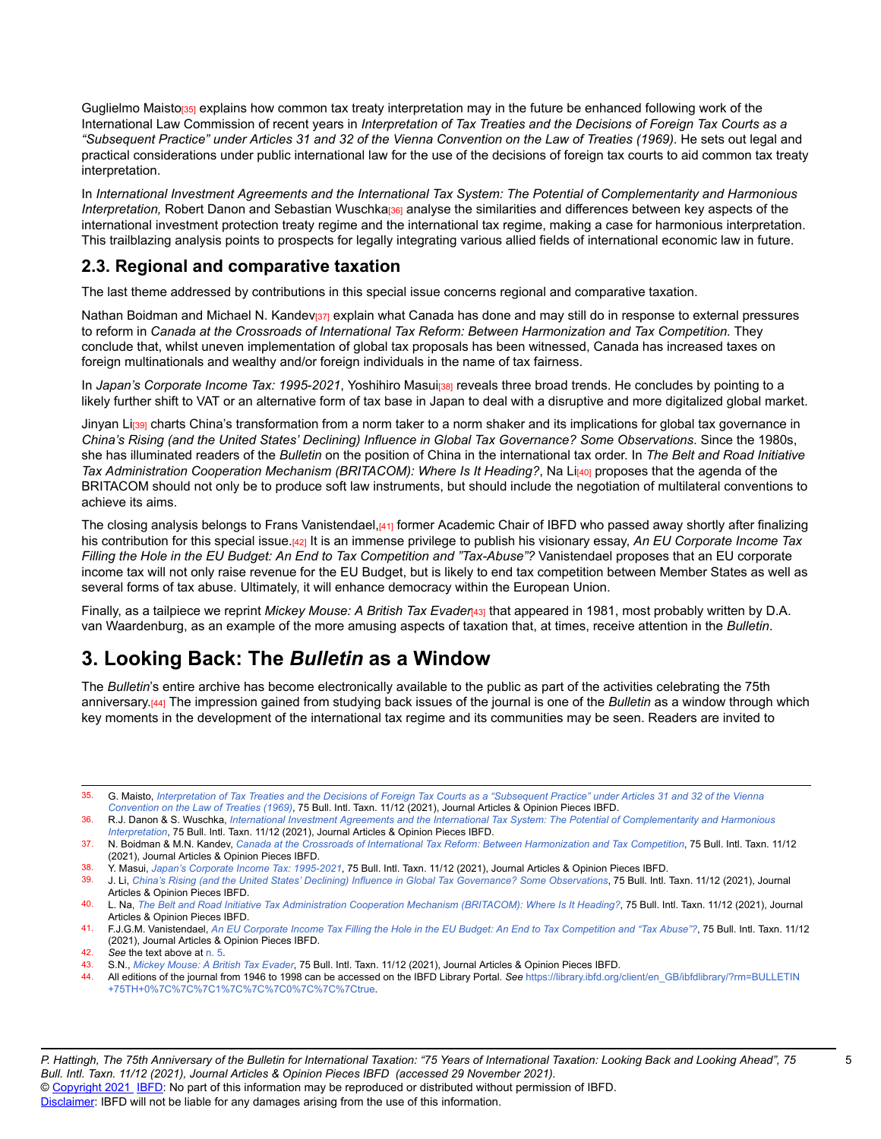Guglielmo Maisto<sub>[35]</sub> explains how common tax treaty interpretation may in the future be enhanced following work of the International Law Commission of recent years in *Interpretation of Tax Treaties and the Decisions of Foreign Tax Courts as a* "Subsequent Practice" under Articles 31 and 32 of the Vienna Convention on the Law of Treaties (1969). He sets out legal and practical considerations under public international law for the use of the decisions of foreign tax courts to aid common tax treaty interpretation.

In *International Investment Agreements and the International Tax System: The Potential of Complementarity and Harmonious Interpretation*, Robert Danon and Sebastian Wuschka<sub>[36]</sub> analyse the similarities and differences between key aspects of the international investment protection treaty regime and the international tax regime, making a case for harmonious interpretation. This trailblazing analysis points to prospects for legally integrating various allied fields of international economic law in future.

#### **2.3. Regional and comparative taxation**

The last theme addressed by contributions in this special issue concerns regional and comparative taxation.

Nathan Boidman and Michael N. Kandev<sub>[37]</sub> explain what Canada has done and may still do in response to external pressures to reform in *Canada at the Crossroads of International Tax Reform: Between Harmonization and Tax Competition.* They conclude that, whilst uneven implementation of global tax proposals has been witnessed, Canada has increased taxes on foreign multinationals and wealthy and/or foreign individuals in the name of tax fairness.

In *Japan's Corporate Income Tax: 1995-2021*, Yoshihiro Masui[38] reveals three broad trends. He concludes by pointing to a likely further shift to VAT or an alternative form of tax base in Japan to deal with a disruptive and more digitalized global market.

Jinyan Li<sub>[39]</sub> charts China's transformation from a norm taker to a norm shaker and its implications for global tax governance in *China's Rising (and the United States' Declining) Influence in Global Tax Governance? Some Observations*. Since the 1980s, she has illuminated readers of the *Bulletin* on the position of China in the international tax order. In *The Belt and Road Initiative Tax Administration Cooperation Mechanism <i>(BRITACOM): Where Is It Heading?*, Na Li<sub>1401</sub> proposes that the agenda of the BRITACOM should not only be to produce soft law instruments, but should include the negotiation of multilateral conventions to achieve its aims.

The closing analysis belongs to Frans Vanistendael,[41] former Academic Chair of IBFD who passed away shortly after finalizing his contribution for this special issue.[42] It is an immense privilege to publish his visionary essay, *An EU Corporate Income Tax Filling the Hole in the EU Budget: An End to Tax Competition and "Tax-Abuse"?* Vanistendael proposes that an EU corporate income tax will not only raise revenue for the EU Budget, but is likely to end tax competition between Member States as well as several forms of tax abuse. Ultimately, it will enhance democracy within the European Union.

Finally, as a tailpiece we reprint *Mickey Mouse: A British Tax Evaden*<sup>43</sup> that appeared in 1981, most probably written by D.A. van Waardenburg, as an example of the more amusing aspects of taxation that, at times, receive attention in the *Bulletin*.

# **3. Looking Back: The** *Bulletin* **as a Window**

The *Bulletin*'s entire archive has become electronically available to the public as part of the activities celebrating the 75th anniversary.[44] The impression gained from studying back issues of the journal is one of the *Bulletin* as a window through which key moments in the development of the international tax regime and its communities may be seen. Readers are invited to

- 35. G. Maisto, [Interpretation](https://research.ibfd.org/#/doc?url=/linkresolver/static/bit_2021_11_o2_20%23bit_2021_11_o2_20) of Tax Treaties and the Decisions of Foreign Tax Courts as a "Subsequent Practice" under Articles 31 and 32 of the Vienna *[Convention](https://research.ibfd.org/#/doc?url=/linkresolver/static/bit_2021_11_o2_20%23bit_2021_11_o2_20) on the Law of Treaties (1969)*, 75 Bull. Intl. Taxn. 11/12 (2021), Journal Articles & Opinion Pieces IBFD.
- 36. R.J. Danon & S. Wuschka, International Investment Agreements and the International Tax System: The Potential of [Complementarity](https://research.ibfd.org/#/doc?url=/linkresolver/static/bit_2021_11_o2_19%23bit_2021_11_o2_19) and Harmonious *[Interpretation](https://research.ibfd.org/#/doc?url=/linkresolver/static/bit_2021_11_o2_19%23bit_2021_11_o2_19)*, 75 Bull. Intl. Taxn. 11/12 (2021), Journal Articles & Opinion Pieces IBFD.

38. Y. Masui, *Japan's Corporate Income Tax: [1995-2021](https://research.ibfd.org/#/doc?url=/linkresolver/static/bit_2021_11_jp_1%23bit_2021_11_jp_1)*, 75 Bull. Intl. Taxn. 11/12 (2021), Journal Articles & Opinion Pieces IBFD.

39. J. Li, China's Rising (and the United States' Declining) Influence in Global Tax [Governance?](https://research.ibfd.org/#/doc?url=/linkresolver/static/bit_2021_11_cn_2%23bit_2021_11_cn_2) Some Observations, 75 Bull. Intl. Taxn. 11/12 (2021), Journal Articles & Opinion Pieces IBFD.

40. L. Na, The Belt and Road Initiative Tax [Administration](https://research.ibfd.org/#/doc?url=/linkresolver/static/bit_2021_11_cn_1%23bit_2021_11_cn_1) Cooperation Mechanism (BRITACOM): Where Is It Heading?, 75 Bull. Intl. Taxn. 11/12 (2021), Journal Articles & Opinion Pieces IBFD.

41. F.J.G.M. Vanistendael, An EU Corporate Income Tax Filling the Hole in the EU Budget: An End to Tax [Competition](https://research.ibfd.org/#/doc?url=/linkresolver/static/bit_2021_11_e2_1%23bit_2021_11_e2_1) and "Tax Abuse"?, 75 Bull. Intl. Taxn. 11/12 (2021), Journal Articles & Opinion Pieces IBFD.

42. *See* the text above at [n. 5.](https://research.ibfd.org/#/doc?url=/linkresolver/static/bit_2021_11_int_4_fn_5%23bit_2021_11_int_4_fn_5)

43. S.N., *Mickey [Mouse:](https://research.ibfd.org/#/doc?url=/linkresolver/static/bit_2021_11_int_1%23bit_2021_11_int_1) A British Tax Evader*, 75 Bull. Intl. Taxn. 11/12 (2021), Journal Articles & Opinion Pieces IBFD.

44. All editions of the journal from 1946 to 1998 can be accessed on the IBFD Library Portal. *See* [https://library.ibfd.org/client/en\\_GB/ibfdlibrary/?rm=BULLETIN](https://library.ibfd.org/client/en_GB/ibfdlibrary/?rm=BULLETIN+75TH+0%7C%7C%7C1%7C%7C%7C0%7C%7C%7Ctrue) [+75TH+0%7C%7C%7C1%7C%7C%7C0%7C%7C%7Ctrue.](https://library.ibfd.org/client/en_GB/ibfdlibrary/?rm=BULLETIN+75TH+0%7C%7C%7C1%7C%7C%7C0%7C%7C%7Ctrue)

<sup>37.</sup> N. Boidman & M.N. Kandev, Canada at the Crossroads of International Tax Reform: Between [Harmonization](https://research.ibfd.org/#/doc?url=/linkresolver/static/bit_2021_11_ca_1%23bit_2021_11_ca_1) and Tax Competition, 75 Bull. Intl. Taxn. 11/12 (2021), Journal Articles & Opinion Pieces IBFD.